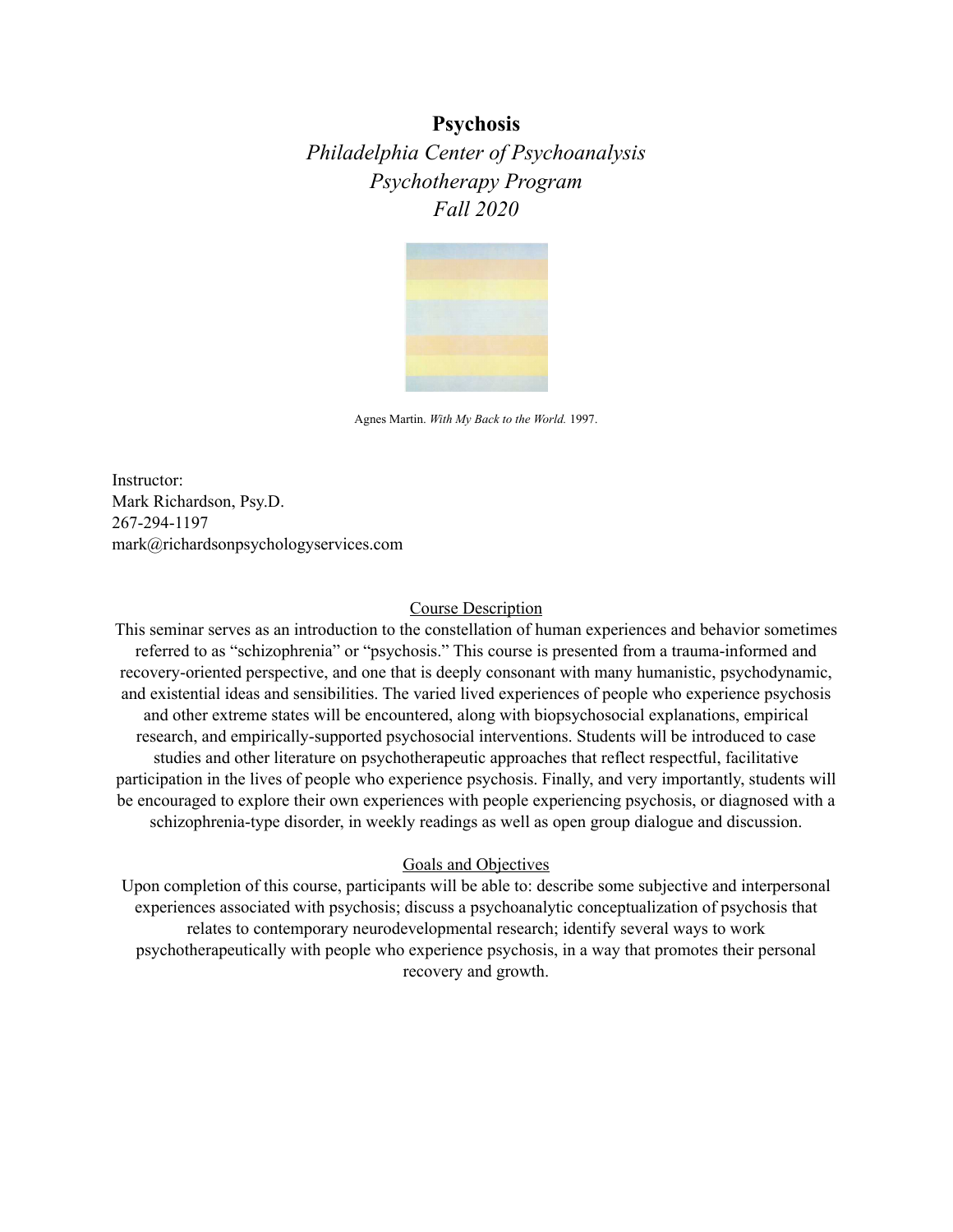# **Psychosis**

*Philadelphia Center of Psychoanalysis Psychotherapy Program Fall 2020*



Agnes Martin. *With My Back to the World.* 1997.

Instructor: Mark Richardson, Psy.D. 267-294-1197 mark@richardsonpsychologyservices.com

#### Course Description

This seminar serves as an introduction to the constellation of human experiences and behavior sometimes referred to as "schizophrenia" or "psychosis." This course is presented from a trauma-informed and recovery-oriented perspective, and one that is deeply consonant with many humanistic, psychodynamic, and existential ideas and sensibilities. The varied lived experiences of people who experience psychosis and other extreme states will be encountered, along with biopsychosocial explanations, empirical research, and empirically-supported psychosocial interventions. Students will be introduced to case studies and other literature on psychotherapeutic approaches that reflect respectful, facilitative participation in the lives of people who experience psychosis. Finally, and very importantly, students will be encouraged to explore their own experiences with people experiencing psychosis, or diagnosed with a schizophrenia-type disorder, in weekly readings as well as open group dialogue and discussion.

#### Goals and Objectives

Upon completion of this course, participants will be able to: describe some subjective and interpersonal experiences associated with psychosis; discuss a psychoanalytic conceptualization of psychosis that relates to contemporary neurodevelopmental research; identify several ways to work psychotherapeutically with people who experience psychosis, in a way that promotes their personal recovery and growth.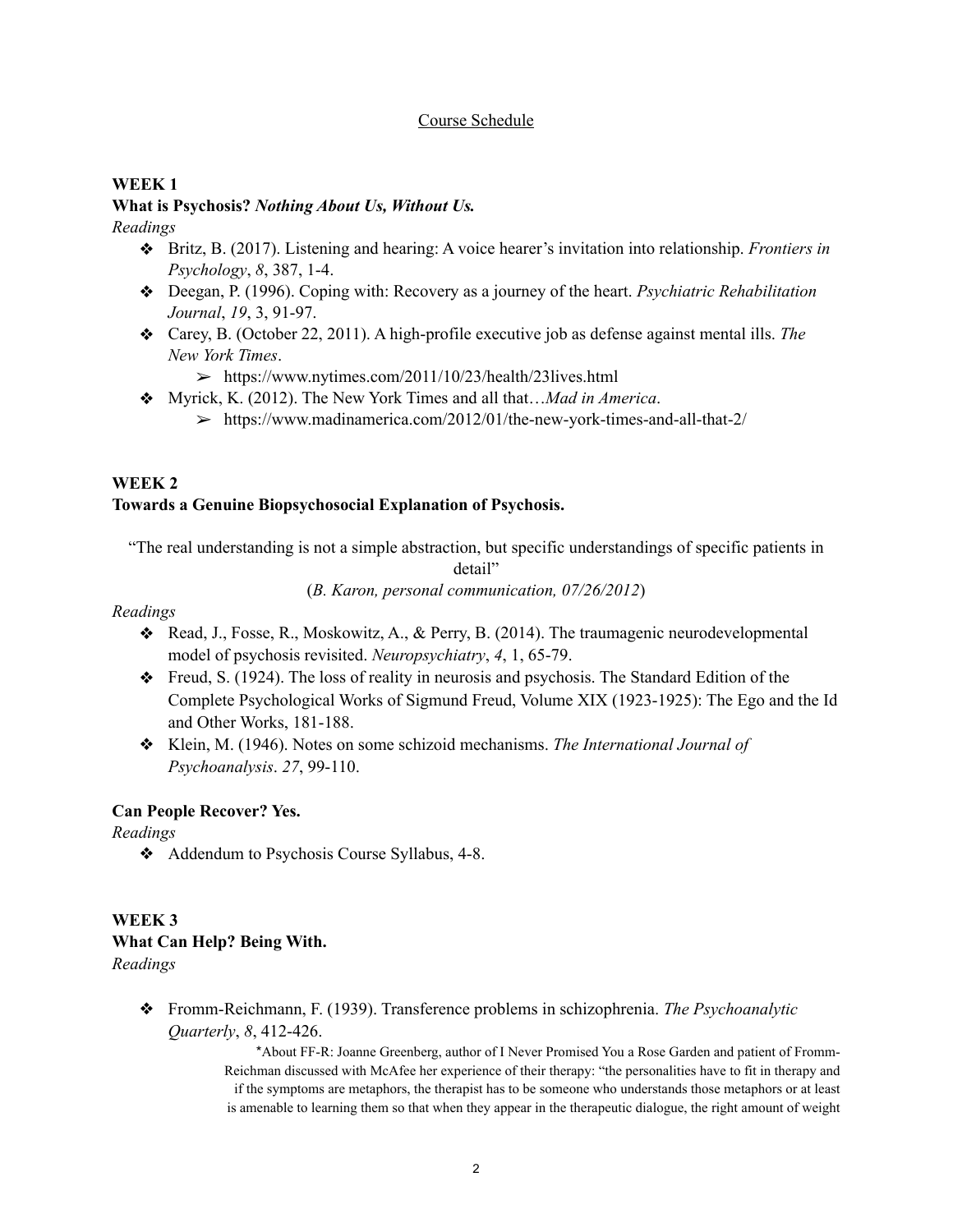### Course Schedule

### **WEEK 1**

## **What is Psychosis?** *Nothing About Us, Without Us.*

*Readings*

- ❖ Britz, B. (2017). Listening and hearing: A voice hearer's invitation into relationship. *Frontiers in Psychology*, *8*, 387, 1-4.
- ❖ Deegan, P. (1996). Coping with: Recovery as a journey of the heart. *Psychiatric Rehabilitation Journal*, *19*, 3, 91-97.
- ❖ Carey, B. (October 22, 2011). A high-profile executive job as defense against mental ills. *The New York Times*.
	- $\geq$  https://www.nytimes.com/2011/10/23/health/23lives.html
- ❖ Myrick, K. (2012). The New York Times and all that…*Mad in America*.
	- ➢ https://www.madinamerica.com/2012/01/the-new-york-times-and-all-that-2/

## **WEEK 2**

## **Towards a Genuine Biopsychosocial Explanation of Psychosis.**

"The real understanding is not a simple abstraction, but specific understandings of specific patients in

detail"

(*B. Karon, personal communication, 07/26/2012*)

*Readings*

- ❖ Read, J., Fosse, R., Moskowitz, A., & Perry, B. (2014). The traumagenic neurodevelopmental model of psychosis revisited. *Neuropsychiatry*, *4*, 1, 65-79.
- ❖ Freud, S. (1924). The loss of reality in neurosis and psychosis. The Standard Edition of the Complete Psychological Works of Sigmund Freud, Volume XIX (1923-1925): The Ego and the Id and Other Works, 181-188.
- ❖ Klein, M. (1946). Notes on some schizoid mechanisms. *The International Journal of Psychoanalysis*. *27*, 99-110.

### **Can People Recover? Yes.**

*Readings*

❖ Addendum to Psychosis Course Syllabus, 4-8.

## **WEEK 3 What Can Help? Being With.**

*Readings*

❖ Fromm-Reichmann, F. (1939). Transference problems in schizophrenia. *The Psychoanalytic Quarterly*, *8*, 412-426.

> \*About FF-R: Joanne Greenberg, author of I Never Promised You a Rose Garden and patient of Fromm-Reichman discussed with McAfee her experience of their therapy: "the personalities have to fit in therapy and if the symptoms are metaphors, the therapist has to be someone who understands those metaphors or at least is amenable to learning them so that when they appear in the therapeutic dialogue, the right amount of weight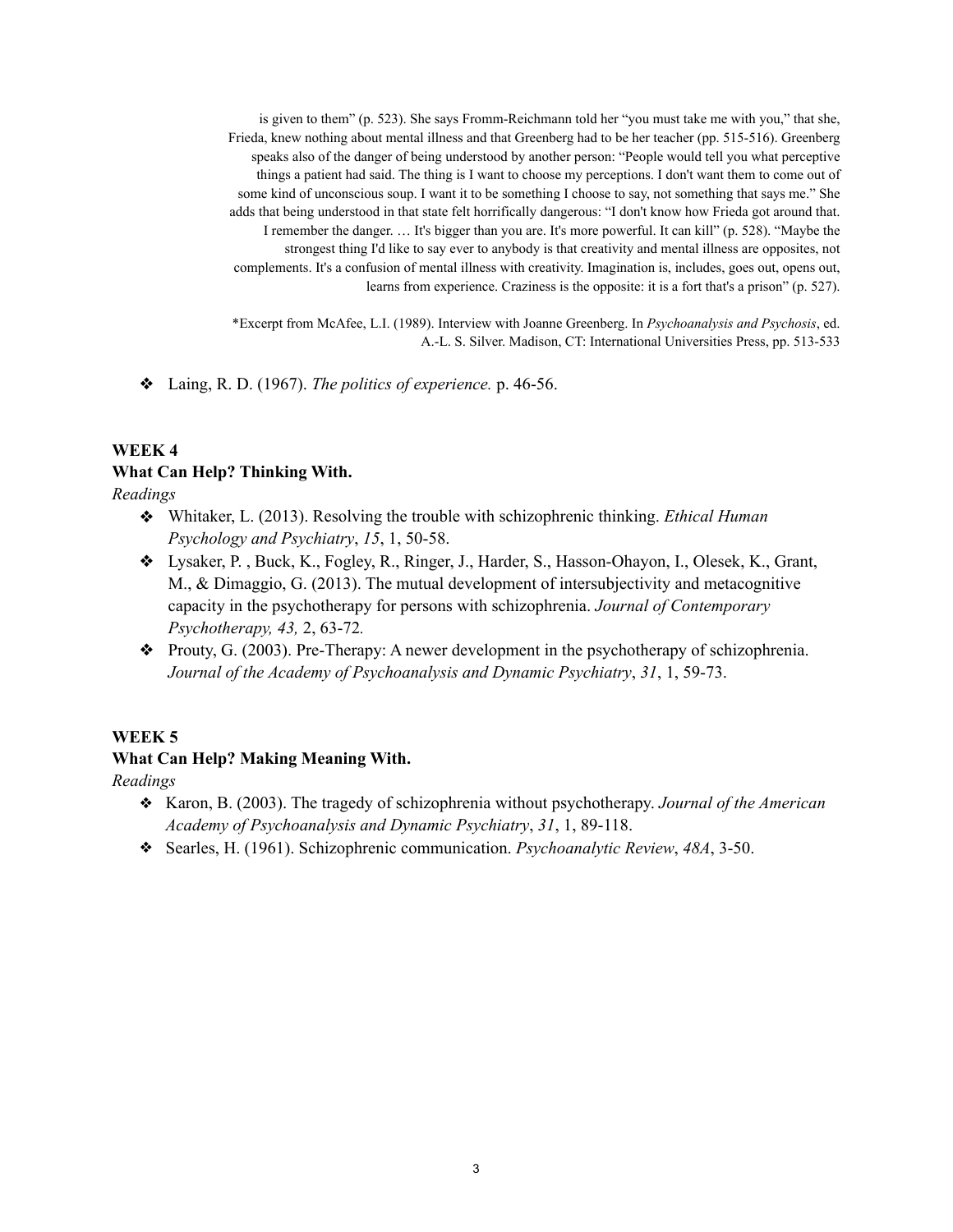is given to them" (p. 523). She says Fromm-Reichmann told her "you must take me with you," that she, Frieda, knew nothing about mental illness and that Greenberg had to be her teacher (pp. 515-516). Greenberg speaks also of the danger of being understood by another person: "People would tell you what perceptive things a patient had said. The thing is I want to choose my perceptions. I don't want them to come out of some kind of unconscious soup. I want it to be something I choose to say, not something that says me." She adds that being understood in that state felt horrifically dangerous: "I don't know how Frieda got around that. I remember the danger. … It's bigger than you are. It's more powerful. It can kill" (p. 528). "Maybe the strongest thing I'd like to say ever to anybody is that creativity and mental illness are opposites, not complements. It's a confusion of mental illness with creativity. Imagination is, includes, goes out, opens out, learns from experience. Craziness is the opposite: it is a fort that's a prison" (p. 527).

\*Excerpt from McAfee, L.I. (1989). Interview with Joanne Greenberg. In *Psychoanalysis and Psychosis*, ed. A.-L. S. Silver. Madison, CT: International Universities Press, pp. 513-533

❖ Laing, R. D. (1967). *The politics of experience.* p. 46-56.

## **WEEK 4 What Can Help? Thinking With.**

*Readings*

- ❖ Whitaker, L. (2013). Resolving the trouble with schizophrenic thinking. *Ethical Human Psychology and Psychiatry*, *15*, 1, 50-58.
- ❖ Lysaker, P. , Buck, K., Fogley, R., Ringer, J., Harder, S., Hasson-Ohayon, I., Olesek, K., Grant, M., & Dimaggio, G. (2013). The mutual development of intersubjectivity and metacognitive capacity in the psychotherapy for persons with schizophrenia. *Journal of Contemporary Psychotherapy, 43,* 2, 63-72*.*
- ❖ Prouty, G. (2003). Pre-Therapy: A newer development in the psychotherapy of schizophrenia. *Journal of the Academy of Psychoanalysis and Dynamic Psychiatry*, *31*, 1, 59-73.

### **WEEK 5**

### **What Can Help? Making Meaning With.**

*Readings*

- ❖ Karon, B. (2003). The tragedy of schizophrenia without psychotherapy. *Journal of the American Academy of Psychoanalysis and Dynamic Psychiatry*, *31*, 1, 89-118.
- ❖ Searles, H. (1961). Schizophrenic communication. *Psychoanalytic Review*, *48A*, 3-50.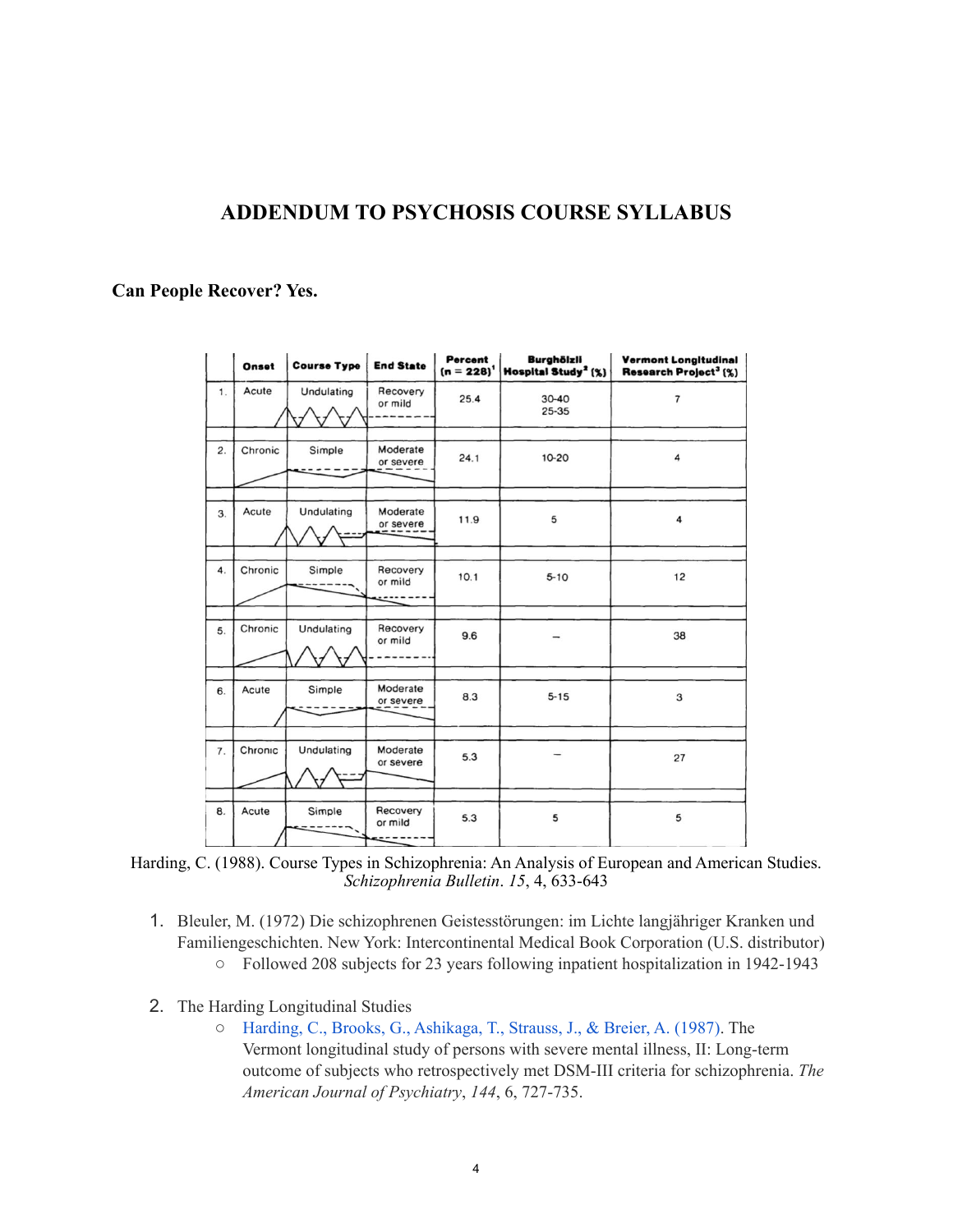## **ADDENDUM TO PSYCHOSIS COURSE SYLLABUS**

### **Can People Recover? Yes.**

|                  | Onset   | <b>Course Type</b> | <b>End State</b>      | Percent<br>$(n = 228)^{1}$ | <b>Burghölzli</b><br>Hospital Study <sup>2</sup> [%] | <b>Vermont Longitudinal</b><br>Research Project <sup>3</sup> (%) |
|------------------|---------|--------------------|-----------------------|----------------------------|------------------------------------------------------|------------------------------------------------------------------|
| 1.               | Acute   | Undulating         | Recovery<br>or mild   | 25.4                       | $30 - 40$<br>25-35                                   | $\overline{7}$                                                   |
| 2.               | Chronic | Simple             | Moderate<br>or severe | 24.1                       | 10-20                                                | 4                                                                |
| 3.               | Acute   | Undulating         | Moderate<br>or severe | 11.9                       | 5                                                    | 4                                                                |
| $\overline{4}$ . | Chronic | Simple             | Recovery<br>or mild   | 10.1                       | $5 - 10$                                             | 12                                                               |
| 5.               | Chronic | Undulating         | Recovery<br>or mild   | 9.6                        |                                                      | 38                                                               |
| 6.               | Acute   | Simple             | Moderate<br>or severe | 8.3                        | $5 - 15$                                             | 3                                                                |
| 7.               | Chronic | Undulating         | Moderate<br>or severe | 5.3                        |                                                      | 27                                                               |
| 8.               | Acute   | Simple             | Recovery<br>or mild   | 5.3                        | 5                                                    | 5                                                                |

Harding, C. (1988). Course Types in Schizophrenia: An Analysis of European and American Studies. *Schizophrenia Bulletin*. *15*, 4, 633-643

- 1. Bleuler, M. (1972) Die schizophrenen Geistesstörungen: im Lichte langjähriger Kranken und Familiengeschichten. New York: Intercontinental Medical Book Corporation (U.S. distributor) ○ Followed 208 subjects for 23 years following inpatient hospitalization in 1942-1943
- 2. The Harding Longitudinal Studies
	- [Harding, C., Brooks, G., Ashikaga, T., Strauss, J., & Breier, A. \(1987\).](http://psychrights.org/research/digest/chronicity/vermont1.pdf) The Vermont longitudinal study of persons with severe mental illness, II: Long-term outcome of subjects who retrospectively met DSM-III criteria for schizophrenia. *The American Journal of Psychiatry*, *144*, 6, 727-735.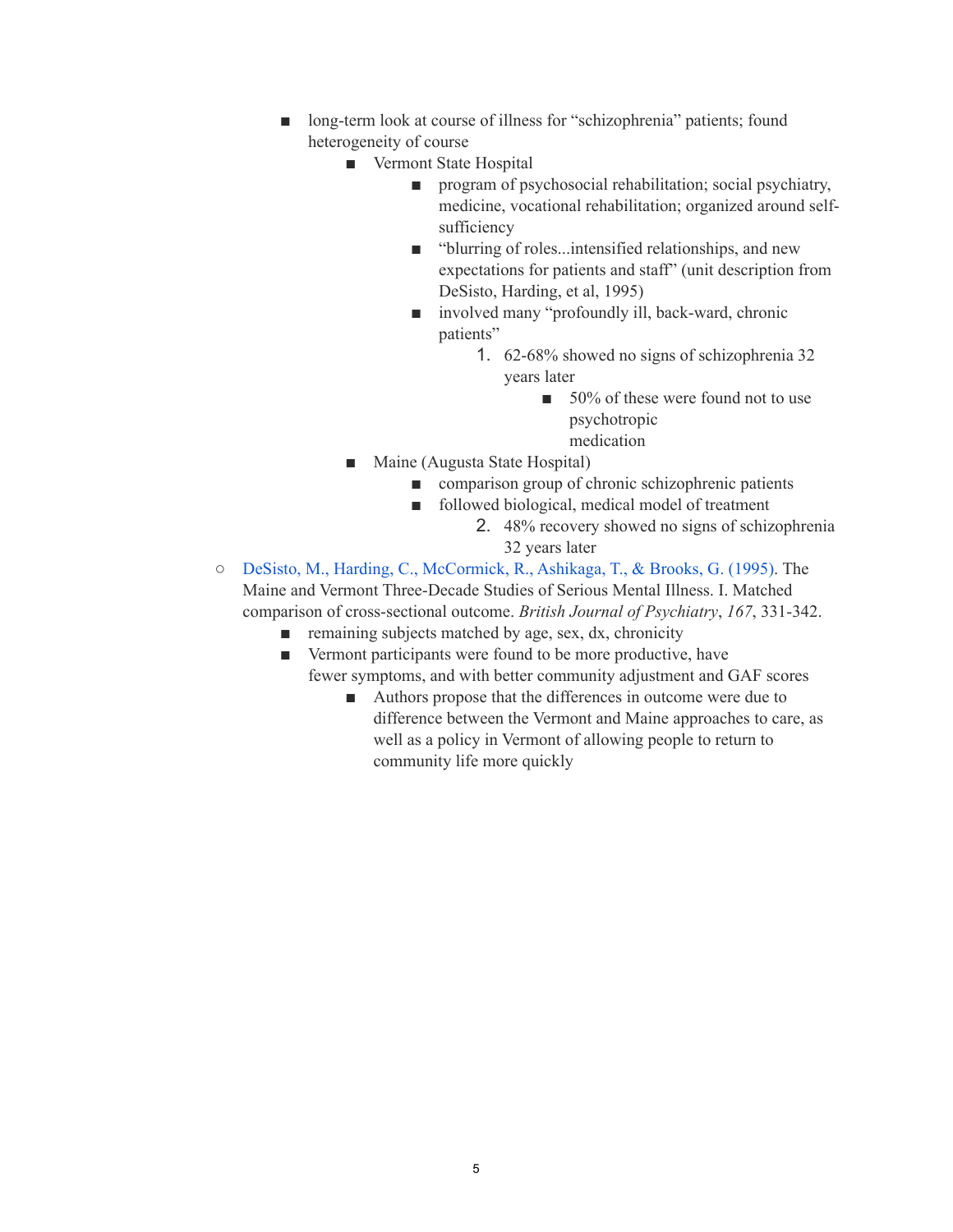- long-term look at course of illness for "schizophrenia" patients; found heterogeneity of course
	- Vermont State Hospital
		- program of psychosocial rehabilitation; social psychiatry, medicine, vocational rehabilitation; organized around selfsufficiency
		- "blurring of roles...intensified relationships, and new expectations for patients and staff" (unit description from DeSisto, Harding, et al, 1995)
		- involved many "profoundly ill, back-ward, chronic patients"
			- 1. 62-68% showed no signs of schizophrenia 32 years later
				- 50% of these were found not to use psychotropic
					- medication
	- Maine (Augusta State Hospital)
		- comparison group of chronic schizophrenic patients
		- followed biological, medical model of treatment
			- 2. 48% recovery showed no signs of schizophrenia 32 years later
- [DeSisto, M., Harding, C., McCormick, R., Ashikaga, T., & Brooks, G. \(1995\).](https://www.researchgate.net/publication/15701744_The_Maine_and_Vermont_three-decade_studies_of_serious_mental_illness_I_Matched_comparison_of_cross-sectional_outcome) The Maine and Vermont Three-Decade Studies of Serious Mental Illness. I. Matched comparison of cross-sectional outcome. *British Journal of Psychiatry*, *167*, 331-342.
	- remaining subjects matched by age, sex, dx, chronicity
	- Vermont participants were found to be more productive, have fewer symptoms, and with better community adjustment and GAF scores
		- Authors propose that the differences in outcome were due to difference between the Vermont and Maine approaches to care, as well as a policy in Vermont of allowing people to return to community life more quickly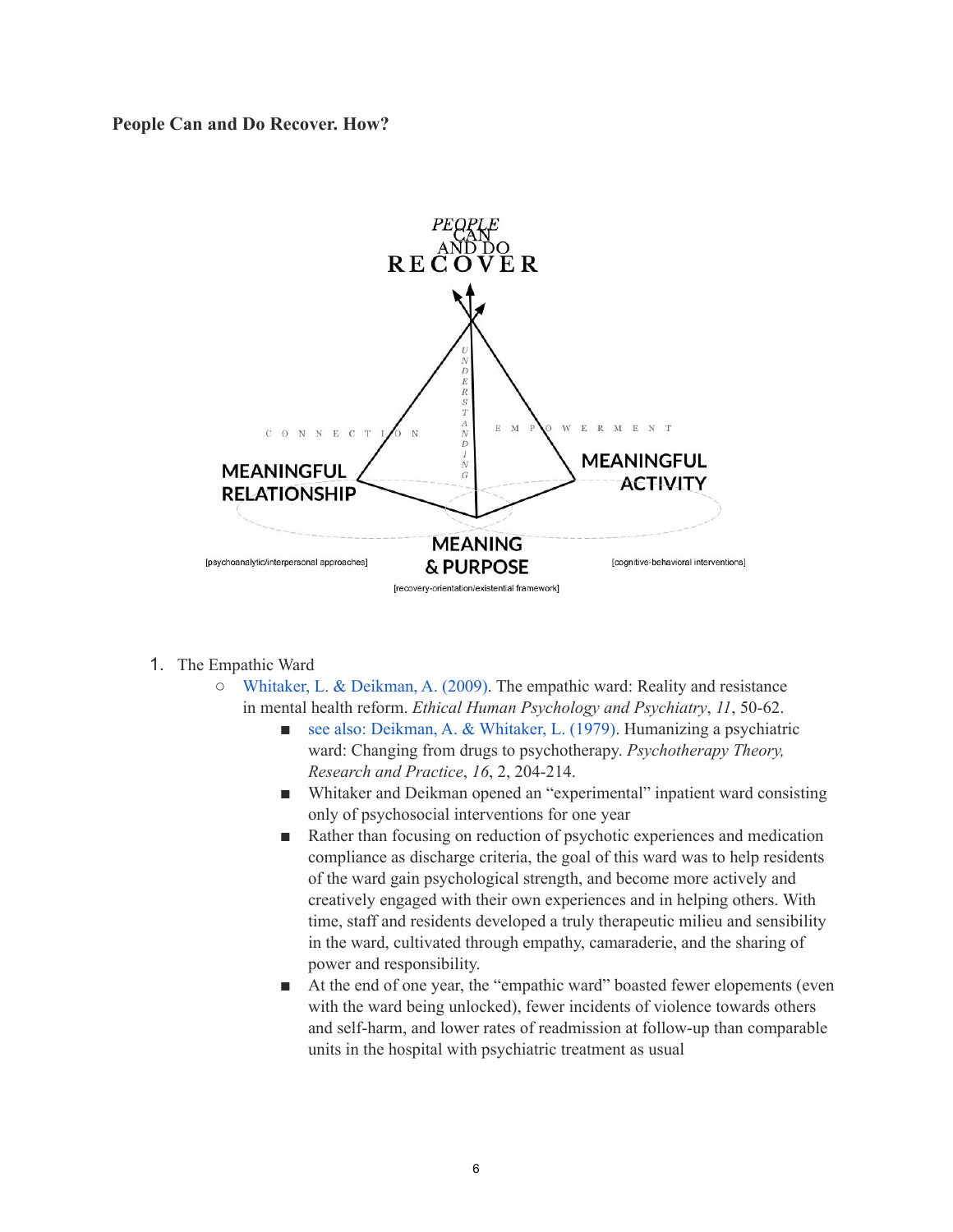**People Can and Do Recover. How?** 



- 1. The Empathic Ward
	- $\circ$  [Whitaker, L. & Deikman, A. \(2009\).](http://psychrights.org/research/digest/Effective/EmpathicWardEHPP2009.pdf) The empathic ward: Reality and resistance in mental health reform. *Ethical Human Psychology and Psychiatry*, *11*, 50-62.
		- [see also: Deikman, A. & Whitaker, L. \(1979\).](https://psycnet.apa.org/record/1980-26271-001) Humanizing a psychiatric ward: Changing from drugs to psychotherapy. *Psychotherapy Theory, Research and Practice*, *16*, 2, 204-214.
		- Whitaker and Deikman opened an "experimental" inpatient ward consisting only of psychosocial interventions for one year
		- Rather than focusing on reduction of psychotic experiences and medication compliance as discharge criteria, the goal of this ward was to help residents of the ward gain psychological strength, and become more actively and creatively engaged with their own experiences and in helping others. With time, staff and residents developed a truly therapeutic milieu and sensibility in the ward, cultivated through empathy, camaraderie, and the sharing of power and responsibility.
		- At the end of one year, the "empathic ward" boasted fewer elopements (even with the ward being unlocked), fewer incidents of violence towards others and self-harm, and lower rates of readmission at follow-up than comparable units in the hospital with psychiatric treatment as usual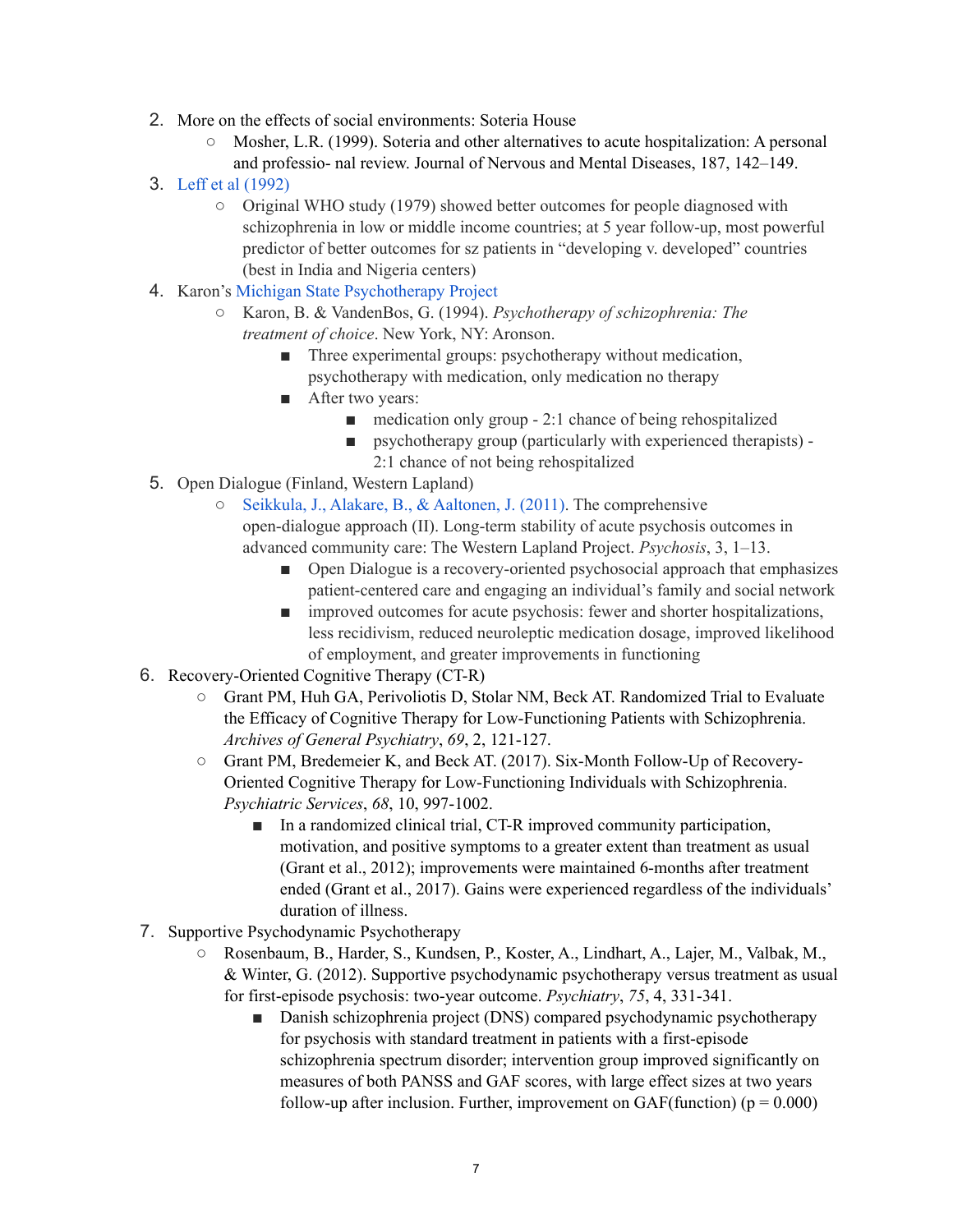- 2. More on the effects of social environments: Soteria House
	- Mosher, L.R. (1999). Soteria and other alternatives to acute hospitalization: A personal and professio- nal review. Journal of Nervous and Mental Diseases, 187, 142–149.
- 3. [Leff et al \(1992\)](http://psychrights.org/research/Digest/Chronicity/who1.pdf)
	- Original WHO study (1979) showed better outcomes for people diagnosed with schizophrenia in low or middle income countries; at 5 year follow-up, most powerful predictor of better outcomes for sz patients in "developing v. developed" countries (best in India and Nigeria centers)
- 4. Karon's [Michigan State Psychotherapy Project](http://psychrights.org/research/digest/Effective/MIPsychProj.pdf)
	- Karon, B. & VandenBos, G. (1994). *Psychotherapy of schizophrenia: The treatment of choice*. New York, NY: Aronson.
		- Three experimental groups: psychotherapy without medication, psychotherapy with medication, only medication no therapy
		- After two years:
			- $\blacksquare$  medication only group 2:1 chance of being rehospitalized
			- psychotherapy group (particularly with experienced therapists) -2:1 chance of not being rehospitalized
	-
- 5. Open Dialogue (Finland, Western Lapland)
	- [Seikkula, J., Alakare, B., & Aaltonen, J. \(2011\)](https://www.researchgate.net/publication/224873486_Seikkula_J_Alakare_B_Aaltonen_J_2011_The_comprehensive_open-dialogue_approach_II_Long-term_stability_of_acute_psychosis_outcomes_in_advanced_community_care_The_Western_Lapland_Project). The comprehensive open-dialogue approach (II). Long-term stability of acute psychosis outcomes in advanced community care: The Western Lapland Project. *Psychosis*, 3, 1–13.
		- Open Dialogue is a recovery-oriented psychosocial approach that emphasizes patient-centered care and engaging an individual's family and social network
		- improved outcomes for acute psychosis: fewer and shorter hospitalizations, less recidivism, reduced neuroleptic medication dosage, improved likelihood of employment, and greater improvements in functioning
- 6. Recovery-Oriented Cognitive Therapy (CT-R)
	- Grant PM, Huh GA, Perivoliotis D, Stolar NM, Beck AT. Randomized Trial to Evaluate the Efficacy of Cognitive Therapy for Low-Functioning Patients with Schizophrenia. *Archives of General Psychiatry*, *69*, 2, 121-127.
	- Grant PM, Bredemeier K, and Beck AT. (2017). Six-Month Follow-Up of Recovery-Oriented Cognitive Therapy for Low-Functioning Individuals with Schizophrenia. *Psychiatric Services*, *68*, 10, 997-1002.
		- In a randomized clinical trial, CT-R improved community participation, motivation, and positive symptoms to a greater extent than treatment as usual (Grant et al., 2012); improvements were maintained 6-months after treatment ended (Grant et al., 2017). Gains were experienced regardless of the individuals' duration of illness.
- 7. Supportive Psychodynamic Psychotherapy
	- Rosenbaum, B., Harder, S., Kundsen, P., Koster, A., Lindhart, A., Lajer, M., Valbak, M., & Winter, G. (2012). Supportive psychodynamic psychotherapy versus treatment as usual for first-episode psychosis: two-year outcome. *Psychiatry*, *75*, 4, 331-341.
		- Danish schizophrenia project (DNS) compared psychodynamic psychotherapy for psychosis with standard treatment in patients with a first-episode schizophrenia spectrum disorder; intervention group improved significantly on measures of both PANSS and GAF scores, with large effect sizes at two years follow-up after inclusion. Further, improvement on GAF(function) ( $p = 0.000$ )